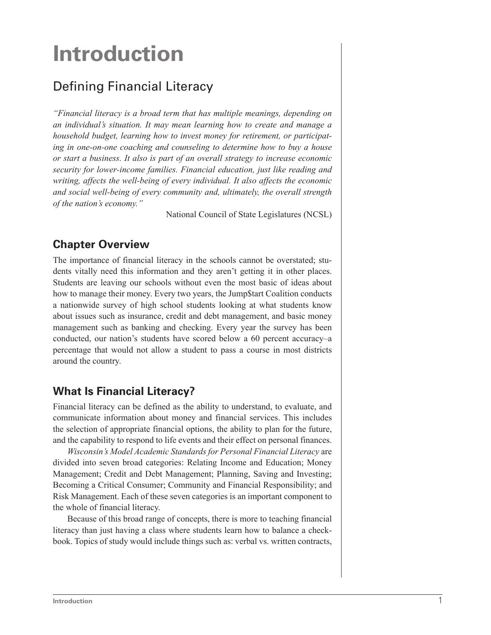# **Introduction**

## Defining Financial Literacy

*"Financial literacy is a broad term that has multiple meanings, depending on an individual's situation. It may mean learning how to create and manage a household budget, learning how to invest money for retirement, or participating in one-on-one coaching and counseling to determine how to buy a house or start a business. It also is part of an overall strategy to increase economic security for lower-income families. Financial education, just like reading and writing, affects the well-being of every individual. It also affects the economic and social well-being of every community and, ultimately, the overall strength of the nation's economy."*

National Council of State Legislatures (NCSL)

#### **Chapter Overview**

The importance of financial literacy in the schools cannot be overstated; students vitally need this information and they aren't getting it in other places. Students are leaving our schools without even the most basic of ideas about how to manage their money. Every two years, the Jump\$tart Coalition conducts a nationwide survey of high school students looking at what students know about issues such as insurance, credit and debt management, and basic money management such as banking and checking. Every year the survey has been conducted, our nation's students have scored below a 60 percent accuracy–a percentage that would not allow a student to pass a course in most districts around the country.

#### **What Is Financial Literacy?**

Financial literacy can be defined as the ability to understand, to evaluate, and communicate information about money and financial services. This includes the selection of appropriate financial options, the ability to plan for the future, and the capability to respond to life events and their effect on personal finances.

*Wisconsin's Model Academic Standards for Personal Financial Literacy* are divided into seven broad categories: Relating Income and Education; Money Management; Credit and Debt Management; Planning, Saving and Investing; Becoming a Critical Consumer; Community and Financial Responsibility; and Risk Management. Each of these seven categories is an important component to the whole of financial literacy.

Because of this broad range of concepts, there is more to teaching financial literacy than just having a class where students learn how to balance a checkbook. Topics of study would include things such as: verbal vs. written contracts,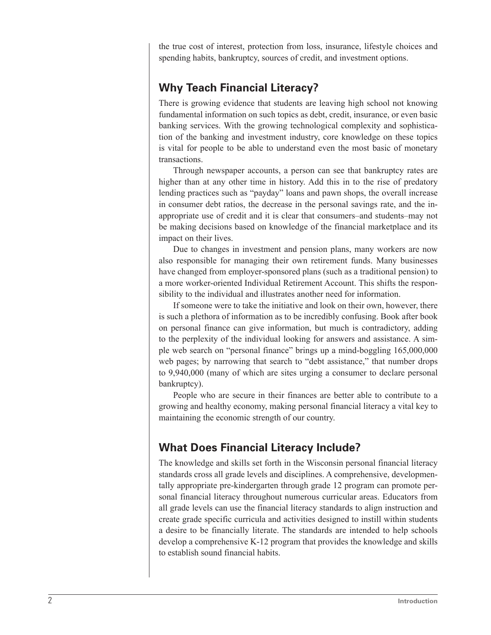the true cost of interest, protection from loss, insurance, lifestyle choices and spending habits, bankruptcy, sources of credit, and investment options.

#### **Why Teach Financial Literacy?**

There is growing evidence that students are leaving high school not knowing fundamental information on such topics as debt, credit, insurance, or even basic banking services. With the growing technological complexity and sophistication of the banking and investment industry, core knowledge on these topics is vital for people to be able to understand even the most basic of monetary transactions.

Through newspaper accounts, a person can see that bankruptcy rates are higher than at any other time in history. Add this in to the rise of predatory lending practices such as "payday" loans and pawn shops, the overall increase in consumer debt ratios, the decrease in the personal savings rate, and the inappropriate use of credit and it is clear that consumers–and students–may not be making decisions based on knowledge of the financial marketplace and its impact on their lives.

Due to changes in investment and pension plans, many workers are now also responsible for managing their own retirement funds. Many businesses have changed from employer-sponsored plans (such as a traditional pension) to a more worker-oriented Individual Retirement Account. This shifts the responsibility to the individual and illustrates another need for information.

If someone were to take the initiative and look on their own, however, there is such a plethora of information as to be incredibly confusing. Book after book on personal finance can give information, but much is contradictory, adding to the perplexity of the individual looking for answers and assistance. A simple web search on "personal finance" brings up a mind-boggling 165,000,000 web pages; by narrowing that search to "debt assistance," that number drops to 9,940,000 (many of which are sites urging a consumer to declare personal bankruptcy).

People who are secure in their finances are better able to contribute to a growing and healthy economy, making personal financial literacy a vital key to maintaining the economic strength of our country.

#### **What Does Financial Literacy Include?**

The knowledge and skills set forth in the Wisconsin personal financial literacy standards cross all grade levels and disciplines. A comprehensive, developmentally appropriate pre-kindergarten through grade 12 program can promote personal financial literacy throughout numerous curricular areas. Educators from all grade levels can use the financial literacy standards to align instruction and create grade specific curricula and activities designed to instill within students a desire to be financially literate. The standards are intended to help schools develop a comprehensive K-12 program that provides the knowledge and skills to establish sound financial habits.